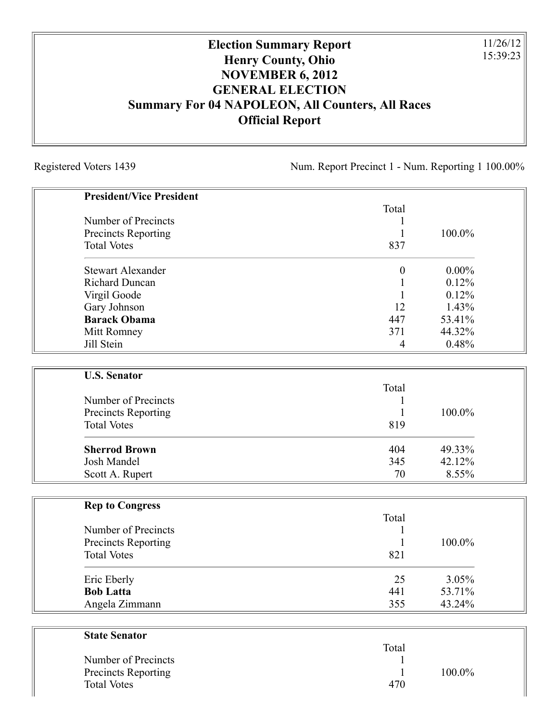## **Election Summary Report Henry County, Ohio NOVEMBER 6, 2012 GENERAL ELECTION Summary For 04 NAPOLEON, All Counters, All Races Official Report**

Registered Voters 1439 Num. Report Precinct 1 - Num. Reporting 1 100.00%

11/26/12 15:39:23

| <b>President/Vice President</b> |                  |          |
|---------------------------------|------------------|----------|
|                                 | Total            |          |
| Number of Precincts             |                  |          |
| Precincts Reporting             | 1                | 100.0%   |
| <b>Total Votes</b>              | 837              |          |
| <b>Stewart Alexander</b>        | $\boldsymbol{0}$ | $0.00\%$ |
| <b>Richard Duncan</b>           |                  | 0.12%    |
| Virgil Goode                    |                  | 0.12%    |
| Gary Johnson                    | 12               | 1.43%    |
| <b>Barack Obama</b>             | 447              | 53.41%   |
| Mitt Romney                     | 371              | 44.32%   |
| Jill Stein                      | 4                | 0.48%    |
| <b>U.S. Senator</b>             |                  |          |
|                                 | Total            |          |
| Number of Precincts             | 1                |          |
| Precincts Reporting             | 1                | 100.0%   |
| <b>Total Votes</b>              | 819              |          |
| <b>Sherrod Brown</b>            | 404              | 49.33%   |
| Josh Mandel                     | 345              | 42.12%   |
| Scott A. Rupert                 | 70               | 8.55%    |
|                                 |                  |          |
| <b>Rep to Congress</b>          | Total            |          |
| Number of Precincts             | 1                |          |
| Precincts Reporting             | $\mathbf{1}$     | 100.0%   |
| <b>Total Votes</b>              | 821              |          |
| Eric Eberly                     | 25               | 3.05%    |
| <b>Bob Latta</b>                | 441              | 53.71%   |
| Angela Zimmann                  | 355              | 43.24%   |
|                                 |                  |          |
| <b>State Senator</b>            |                  |          |
|                                 | Total            |          |
| Number of Precincts             | 1                |          |

Precincts Reporting 1 100.0%

Total Votes 470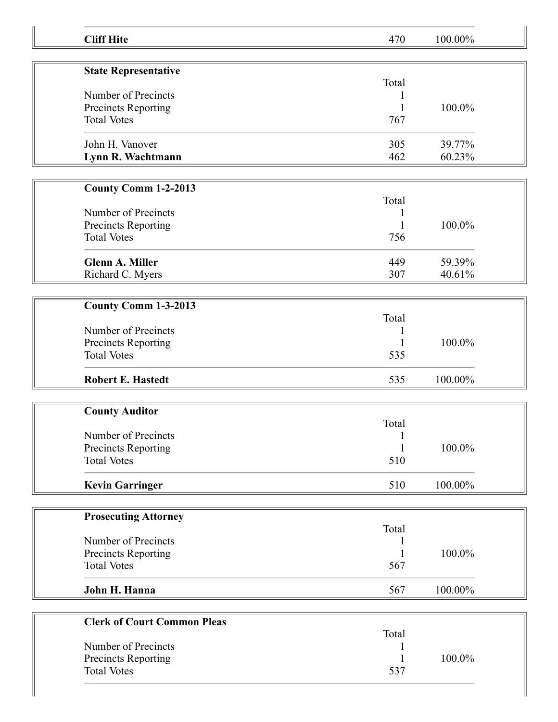| <b>Cliff Hite</b>                                | 470          | 100.00% |  |
|--------------------------------------------------|--------------|---------|--|
|                                                  |              |         |  |
| <b>State Representative</b>                      | Total        |         |  |
| Number of Precincts                              | 1            |         |  |
| Precincts Reporting                              | 1            | 100.0%  |  |
| <b>Total Votes</b>                               | 767          |         |  |
| John H. Vanover                                  | 305          | 39.77%  |  |
| Lynn R. Wachtmann                                | 462          | 60.23%  |  |
|                                                  |              |         |  |
| <b>County Comm 1-2-2013</b>                      |              |         |  |
|                                                  | Total        |         |  |
| Number of Precincts                              | 1            |         |  |
| Precincts Reporting                              | 1            | 100.0%  |  |
| <b>Total Votes</b>                               | 756          |         |  |
| <b>Glenn A. Miller</b>                           | 449          | 59.39%  |  |
| Richard C. Myers                                 | 307          | 40.61%  |  |
|                                                  |              |         |  |
| County Comm 1-3-2013                             |              |         |  |
|                                                  | Total        |         |  |
| Number of Precincts                              |              |         |  |
| Precincts Reporting                              |              | 100.0%  |  |
| <b>Total Votes</b>                               | 535          |         |  |
| <b>Robert E. Hastedt</b>                         | 535          | 100.00% |  |
|                                                  |              |         |  |
| <b>County Auditor</b>                            |              |         |  |
|                                                  | Total        |         |  |
| Number of Precincts                              | $\mathbf{1}$ |         |  |
| <b>Precincts Reporting</b><br><b>Total Votes</b> | $\mathbf{1}$ | 100.0%  |  |
|                                                  | 510          |         |  |
| <b>Kevin Garringer</b>                           | 510          | 100.00% |  |
|                                                  |              |         |  |
| <b>Prosecuting Attorney</b>                      |              |         |  |
| Number of Precincts                              | Total        |         |  |
| Precincts Reporting                              |              | 100.0%  |  |
| <b>Total Votes</b>                               | 567          |         |  |
|                                                  |              |         |  |
| John H. Hanna                                    | 567          | 100.00% |  |
|                                                  |              |         |  |
| <b>Clerk of Court Common Pleas</b>               | Total        |         |  |
| Number of Precincts                              |              |         |  |
| Precincts Reporting                              |              | 100.0%  |  |
| <b>Total Votes</b>                               | 537          |         |  |
|                                                  |              |         |  |
|                                                  |              |         |  |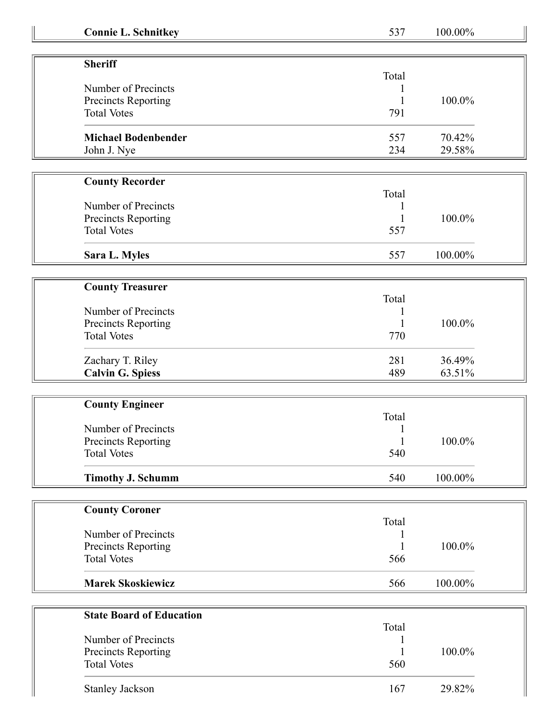| <b>Connie L. Schnitkey</b> |  |  |
|----------------------------|--|--|
|                            |  |  |

 $\frac{1}{2}$ 

**Connie L. Schnitkey** 537 100.00%

| <b>Sheriff</b>                  |              |         |  |
|---------------------------------|--------------|---------|--|
|                                 | Total        |         |  |
| Number of Precincts             |              |         |  |
| Precincts Reporting             |              | 100.0%  |  |
| <b>Total Votes</b>              | 791          |         |  |
| <b>Michael Bodenbender</b>      | 557          | 70.42%  |  |
| John J. Nye                     | 234          | 29.58%  |  |
|                                 |              |         |  |
|                                 |              |         |  |
| <b>County Recorder</b>          |              |         |  |
|                                 | Total        |         |  |
| Number of Precincts             |              |         |  |
| Precincts Reporting             |              | 100.0%  |  |
| <b>Total Votes</b>              | 557          |         |  |
|                                 | 557          | 100.00% |  |
| Sara L. Myles                   |              |         |  |
|                                 |              |         |  |
| <b>County Treasurer</b>         |              |         |  |
|                                 | Total        |         |  |
| Number of Precincts             |              |         |  |
| Precincts Reporting             |              | 100.0%  |  |
| <b>Total Votes</b>              | 770          |         |  |
|                                 |              |         |  |
| Zachary T. Riley                | 281          | 36.49%  |  |
| <b>Calvin G. Spiess</b>         | 489          | 63.51%  |  |
|                                 |              |         |  |
| <b>County Engineer</b>          |              |         |  |
|                                 | Total        |         |  |
| Number of Precincts             |              |         |  |
| Precincts Reporting             |              | 100.0%  |  |
| <b>Total Votes</b>              | 540          |         |  |
| <b>Timothy J. Schumm</b>        | 540          | 100.00% |  |
|                                 |              |         |  |
|                                 |              |         |  |
| <b>County Coroner</b>           | Total        |         |  |
|                                 |              |         |  |
| Number of Precincts             |              |         |  |
| Precincts Reporting             | $\mathbf{1}$ | 100.0%  |  |
| <b>Total Votes</b>              | 566          |         |  |
| <b>Marek Skoskiewicz</b>        | 566          | 100.00% |  |
|                                 |              |         |  |
| <b>State Board of Education</b> |              |         |  |
|                                 | Total        |         |  |
| Number of Precincts             |              |         |  |
|                                 |              |         |  |
| Precincts Reporting             |              | 100.0%  |  |
| <b>Total Votes</b>              | 560          |         |  |

Stanley Jackson 167 29.82%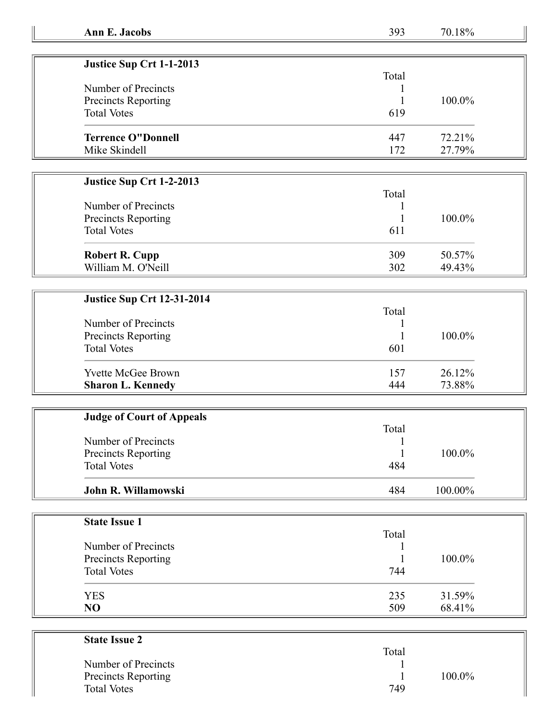| Ann E. Jacobs |  |  |  |  |
|---------------|--|--|--|--|
|---------------|--|--|--|--|

**Ann E. Jacobs** 393 70.18%

| Justice Sup Crt 1-1-2013  |       |        |  |
|---------------------------|-------|--------|--|
|                           | Total |        |  |
| Number of Precincts       |       |        |  |
| Precincts Reporting       |       | 100.0% |  |
| <b>Total Votes</b>        | 619   |        |  |
| <b>Terrence O"Donnell</b> | 447   | 72.21% |  |
| Mike Skindell             | 172   | 27.79% |  |

## **Justice Sup Crt 1-2-2013**

|                       | Total |        |
|-----------------------|-------|--------|
| Number of Precincts   |       |        |
| Precincts Reporting   |       | 100.0% |
| <b>Total Votes</b>    | 611   |        |
| <b>Robert R. Cupp</b> | 309   | 50.57% |
| William M. O'Neill    | 302   | 49.43% |

## **Justice Sup Crt 12-31-2014**

| Number of Precincts<br>Precincts Reporting<br><b>Total Votes</b> | Total<br>601 | 100.0% |
|------------------------------------------------------------------|--------------|--------|
| <b>Yvette McGee Brown</b>                                        | 157          | 26.12% |
| <b>Sharon L. Kennedy</b>                                         | 444          | 73.88% |

| <b>Judge of Court of Appeals</b> |       |            |  |
|----------------------------------|-------|------------|--|
|                                  | Total |            |  |
| Number of Precincts              |       |            |  |
| Precincts Reporting              |       | 100.0%     |  |
| <b>Total Votes</b>               | 484   |            |  |
| John R. Willamowski              | 484   | $100.00\%$ |  |

| <b>State Issue 1</b> |       |        |
|----------------------|-------|--------|
|                      | Total |        |
| Number of Precincts  |       |        |
| Precincts Reporting  |       | 100.0% |
| <b>Total Votes</b>   | 744   |        |
| <b>YES</b>           | 235   | 31.59% |
| N <sub>O</sub>       | 509   | 68.41% |

| <b>State Issue 2</b>       |       |        |
|----------------------------|-------|--------|
|                            | Total |        |
| Number of Precincts        |       |        |
| <b>Precincts Reporting</b> |       | 100.0% |
| <b>Total Votes</b>         | 749   |        |